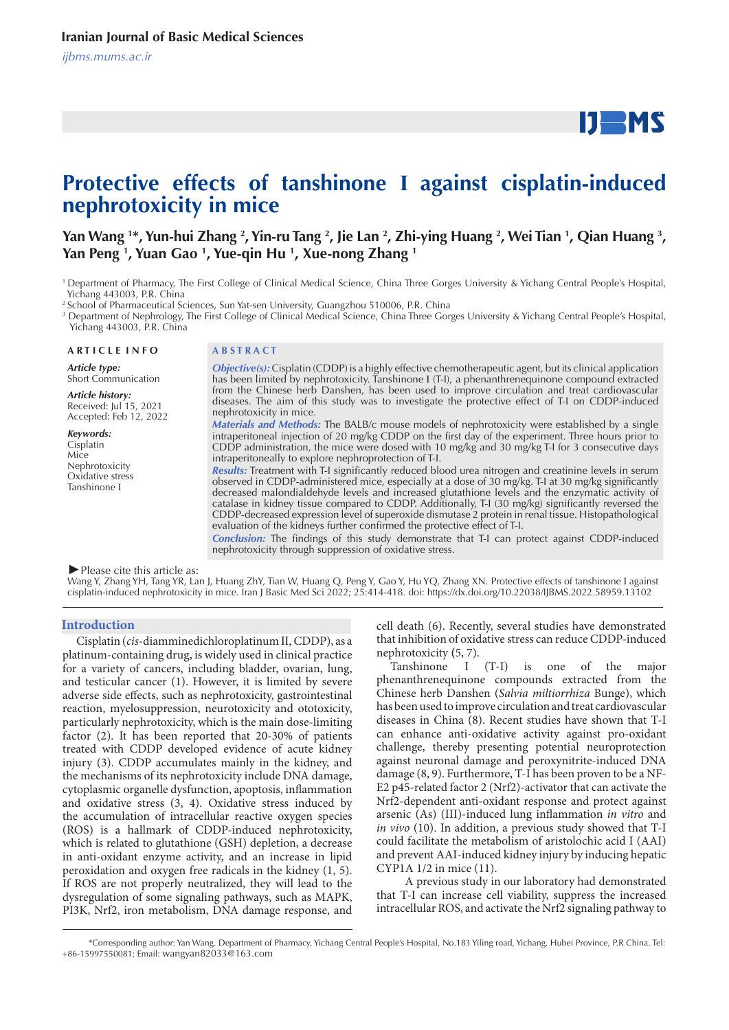# $IJ$  MS

## **Protective effects of tanshinone Ⅰ against cisplatin-induced nephrotoxicity in mice**

Yan Wang <sup>1\*</sup>, Yun-hui Zhang <sup>2</sup>, Yin-ru Tang <sup>2</sup>, Jie Lan <sup>2</sup>, Zhi-ying Huang <sup>2</sup>, Wei Tian <sup>1</sup>, Qian Huang <sup>3</sup>, **Yan Peng 1 , Yuan Gao 1 , Yue-qin Hu 1 , Xue-nong Zhang 1**

<sup>2</sup> School of Pharmaceutical Sciences, Sun Yat-sen University, Guangzhou 510006, P.R. China

3 Department of Nephrology, The First College of Clinical Medical Science, China Three Gorges University & Yichang Central People's Hospital, Yichang 443003, P.R. China

**A R T I C L E I N F O A B S T R A C T**

*Article type:* Short Communication

*Article history:* Received: Jul 15, 2021 Accepted: Feb 12, 2022

*Keywords:* Cisplatin Mice Nephrotoxicity Oxidative stress Tanshinone Ⅰ

*Objective(s):* Cisplatin (CDDP) is a highly effective chemotherapeutic agent, but its clinical application has been limited by nephrotoxicity. Tanshinone I (T-I), a phenanthrenequinone compound extracted from the Chinese herb Danshen, has been used to improve circulation and treat cardiovascular diseases. The aim of this study was to investigate the protective effect of T-I on CDDP-induced nephrotoxicity in mice.

*Materials and Methods:* The BALB/c mouse models of nephrotoxicity were established by a single intraperitoneal injection of 20 mg/kg CDDP on the first day of the experiment. Three hours prior to CDDP administration, the mice were dosed with 10 mg/kg and 30 mg/kg T-I for 3 consecutive days intraperitoneally to explore nephroprotection of T-I.

*Results:* Treatment with T-I significantly reduced blood urea nitrogen and creatinine levels in serum observed in CDDP-administered mice, especially at a dose of 30 mg/kg. T-I at 30 mg/kg significantly decreased malondialdehyde levels and increased glutathione levels and the enzymatic activity of catalase in kidney tissue compared to CDDP. Additionally, T-I (30 mg/kg) significantly reversed the CDDP-decreased expression level of superoxide dismutase 2 protein in renal tissue. Histopathological evaluation of the kidneys further confirmed the protective effect of T-I.

*Conclusion:* The findings of this study demonstrate that T-I can protect against CDDP-induced nephrotoxicity through suppression of oxidative stress.

#### *►*Please cite this article as:

Wang Y, Zhang YH, Tang YR, Lan J, Huang ZhY, Tian W, Huang Q, Peng Y, Gao Y, Hu YQ, Zhang XN. Protective effects of tanshinone I against cisplatin-induced nephrotoxicity in mice. Iran J Basic Med Sci 2022; 25:414-418. doi: https://dx.doi.org/10.22038/IJBMS.2022.58959.13102

#### **Introduction**

Cisplatin (*cis*-diamminedichloroplatinum Ⅱ, CDDP), as a platinum-containing drug, is widely used in clinical practice for a variety of cancers, including bladder, ovarian, lung, and testicular cancer (1). However, it is limited by severe adverse side effects, such as nephrotoxicity, gastrointestinal reaction, myelosuppression, neurotoxicity and ototoxicity, particularly nephrotoxicity, which is the main dose-limiting factor (2). It has been reported that 20-30% of patients treated with CDDP developed evidence of acute kidney injury (3). CDDP accumulates mainly in the kidney, and the mechanisms of its nephrotoxicity include DNA damage, cytoplasmic organelle dysfunction, apoptosis, inflammation and oxidative stress (3, 4). Oxidative stress induced by the accumulation of intracellular reactive oxygen species (ROS) is a hallmark of CDDP-induced nephrotoxicity, which is related to glutathione (GSH) depletion, a decrease in anti-oxidant enzyme activity, and an increase in lipid peroxidation and oxygen free radicals in the kidney (1, 5). If ROS are not properly neutralized, they will lead to the dysregulation of some signaling pathways, such as MAPK, PI3K, Nrf2, iron metabolism, DNA damage response, and

cell death (6). Recently, several studies have demonstrated that inhibition of oxidative stress can reduce CDDP-induced nephrotoxicity **(**5, 7).

Tanshinone Ⅰ (T-I) is one of the major phenanthrenequinone compounds extracted from the Chinese herb Danshen (*Salvia miltiorrhiza* Βunge), which has been used to improve circulation and treat cardiovascular diseases in China (8). Recent studies have shown that T-I can enhance anti-oxidative activity against pro-oxidant challenge, thereby presenting potential neuroprotection against neuronal damage and peroxynitrite-induced DNA damage (8, 9). Furthermore, T-I has been proven to be a NF-E2 p45-related factor 2 (Nrf2)-activator that can activate the Nrf2-dependent anti-oxidant response and protect against arsenic (As) (III)-induced lung inflammation *in vitro* and *in vivo* (10). In addition, a previous study showed that T-I could facilitate the metabolism of aristolochic acid I (AAI) and prevent AAI-induced kidney injury by inducing hepatic CYP1A 1/2 in mice (11).

 A previous study in our laboratory had demonstrated that T-I can increase cell viability, suppress the increased intracellular ROS, and activate the Nrf2 signaling pathway to

<sup>&</sup>lt;sup>1</sup> Department of Pharmacy, The First College of Clinical Medical Science, China Three Gorges University & Yichang Central People's Hospital, Yichang 443003, P.R. China

 <sup>\*</sup>Corresponding author: Yan Wang. Department of Pharmacy, Yichang Central People's Hospital, No.183 Yiling road, Yichang, Hubei Province, P.R China. Tel: +86-15997550081; Email: wangyan82033@163.com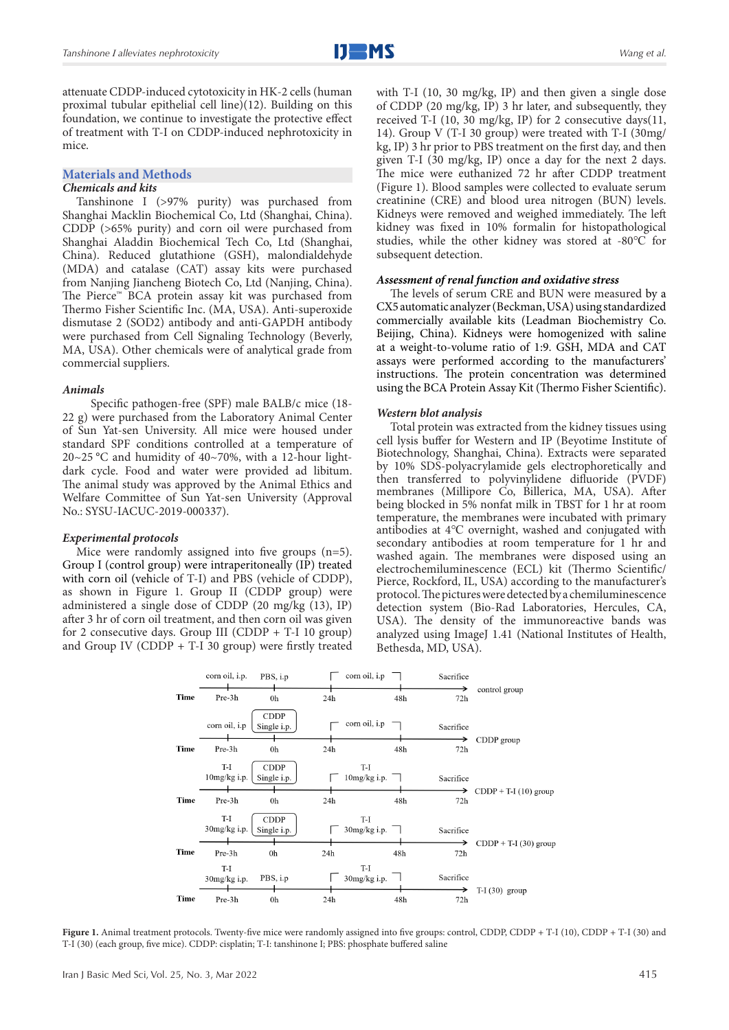attenuate CDDP-induced cytotoxicity in HK-2 cells (human proximal tubular epithelial cell line)(12). Building on this foundation, we continue to investigate the protective effect of treatment with T-I on CDDP-induced nephrotoxicity in mice.

### **Materials and Methods**

#### *Chemicals and kits*

Tanshinone I (>97% purity) was purchased from Shanghai Macklin Biochemical Co, Ltd (Shanghai, China). CDDP (>65% purity) and corn oil were purchased from Shanghai Aladdin Biochemical Tech Co, Ltd (Shanghai, China). Reduced glutathione (GSH), malondialdehyde (MDA) and catalase (CAT) assay kits were purchased from Nanjing Jiancheng Biotech Co, Ltd (Nanjing, China). The Pierce™ BCA protein assay kit was purchased from Thermo Fisher Scientific Inc. (MA, USA). Anti-superoxide dismutase 2 (SOD2) antibody and anti-GAPDH antibody were purchased from Cell Signaling Technology (Beverly, MA, USA). Other chemicals were of analytical grade from commercial suppliers.

#### *Animals*

 Specific pathogen-free (SPF) male BALB/c mice (18- 22 g) were purchased from the Laboratory Animal Center of Sun Yat-sen University. All mice were housed under standard SPF conditions controlled at a temperature of 20~25 °C and humidity of 40~70%, with a 12-hour lightdark cycle. Food and water were provided ad libitum. The animal study was approved by the Animal Ethics and Welfare Committee of Sun Yat-sen University (Approval No.: SYSU-IACUC-2019-000337).

#### *Experimental protocols*

Mice were randomly assigned into five groups  $(n=5)$ . Group I (control group) were intraperitoneally (IP) treated with corn oil (vehicle of T-I) and PBS (vehicle of CDDP), as shown in Figure 1. Group II (CDDP group) were administered a single dose of CDDP (20 mg/kg  $(13)$ , IP) after 3 hr of corn oil treatment, and then corn oil was given for 2 consecutive days. Group III (CDDP + T-I 10 group) and Group IV (CDDP + T-I 30 group) were firstly treated

with T-I (10, 30 mg/kg, IP) and then given a single dose of CDDP (20 mg/kg, IP) 3 hr later, and subsequently, they received T-I (10, 30 mg/kg, IP) for 2 consecutive days(11, 14). Group V (T-I 30 group) were treated with T-I (30mg/ kg, IP) 3 hr prior to PBS treatment on the first day, and then given T-I (30 mg/kg, IP) once a day for the next 2 days. The mice were euthanized 72 hr after CDDP treatment (Figure 1). Blood samples were collected to evaluate serum creatinine (CRE) and blood urea nitrogen (BUN) levels. Kidneys were removed and weighed immediately. The left kidney was fixed in 10% formalin for histopathological studies, while the other kidney was stored at -80℃ for subsequent detection.

#### *Assessment of renal function and oxidative stress*

The levels of serum CRE and BUN were measured by a CX5 automatic analyzer (Beckman, USA) using standardized commercially available kits (Leadman Biochemistry Co. Beijing, China). Kidneys were homogenized with saline at a weight-to-volume ratio of 1:9. GSH, MDA and CAT assays were performed according to the manufacturers' instructions. The protein concentration was determined using the BCA Protein Assay Kit (Thermo Fisher Scientific).

#### *Western blot analysis*

Total protein was extracted from the kidney tissues using cell lysis buffer for Western and IP (Beyotime Institute of Biotechnology, Shanghai, China). Extracts were separated by 10% SDS-polyacrylamide gels electrophoretically and then transferred to polyvinylidene difluoride (PVDF) membranes (Millipore Co, Billerica, MA, USA). After being blocked in 5% nonfat milk in TBST for 1 hr at room temperature, the membranes were incubated with primary antibodies at 4℃ overnight, washed and conjugated with secondary antibodies at room temperature for 1 hr and washed again. The membranes were disposed using an electrochemiluminescence (ECL) kit (Thermo Scientific/ Pierce, Rockford, IL, USA) according to the manufacturer's protocol. The pictures were detected by a chemiluminescence detection system (Bio-Rad Laboratories, Hercules, CA, USA). The density of the immunoreactive bands was analyzed using ImageJ 1.41 (National Institutes of Health, Bethesda, MD, USA).



**Figure 1.** Animal treatment protocols. Twenty-five mice were randomly assigned into five groups: control, CDDP, CDDP + T-I (10), CDDP + T-I (30) and T-I (30) (each group, five mice). CDDP: cisplatin; T-I: tanshinone I; PBS: phosphate buffered saline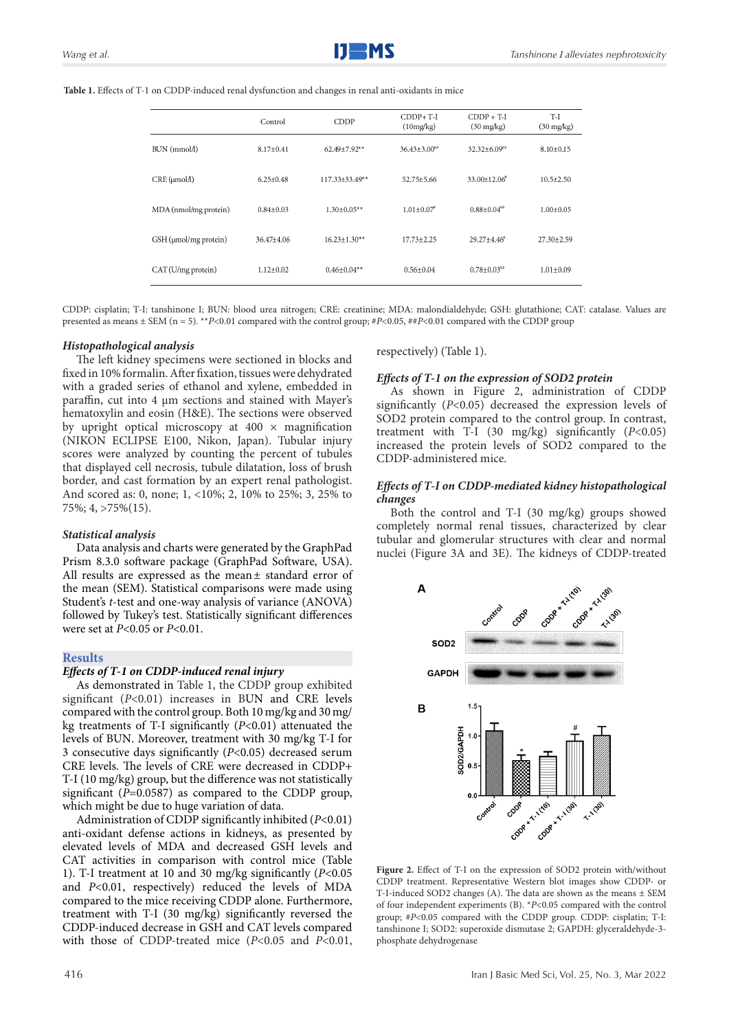|                       | Control         | <b>CDDP</b>         | $CDDP+T-I$<br>(10mg/kg)        | $CDDP + T-I$<br>$(30 \text{ mg/kg})$ | $T-I$<br>$(30 \text{ mg/kg})$ |
|-----------------------|-----------------|---------------------|--------------------------------|--------------------------------------|-------------------------------|
| BUN (mmol/l)          | $8.17 \pm 0.41$ | 62.49±7.92**        | $36.43 \pm 3.00$ <sup>**</sup> | $32.32 \pm 6.09$ <sup>##</sup>       | $8.10 \pm 0.15$               |
| CRE(µmol/l)           | $6.25 \pm 0.48$ | $117.33\pm 33.49**$ | $52.75 + 5.66$                 | $33.00 \pm 12.06^*$                  | $10.5 \pm 2.50$               |
| MDA (nmol/mg protein) | $0.84 + 0.03$   | $1.30 + 0.05**$     | $1.01 + 0.07$ <sup>*</sup>     | $0.88 + 0.04$ ##                     | $1.00 + 0.05$                 |
| GSH (µmol/mg protein) | $36.47 + 4.06$  | $16.23 \pm 1.30**$  | $17.73 + 2.25$                 | $29.27 + 4.46$ <sup>*</sup>          | $27.30 \pm 2.59$              |
| CAT (U/mg protein)    | $1.12 \pm 0.02$ | $0.46 \pm 0.04**$   | $0.56 \pm 0.04$                | $0.78 \pm 0.03$ <sup>**</sup>        | $1.01 \pm 0.09$               |

CDDP: cisplatin; T-I: tanshinone I; BUN: blood urea nitrogen; CRE: creatinine; MDA: malondialdehyde; GSH: glutathione; CAT: catalase. Values are presented as means ± SEM (n = 5). \*\**P*<0.01 compared with the control group; #*P*<0.05, ##*P*<0.01 compared with the CDDP group

#### *Histopathological analysis*

The left kidney specimens were sectioned in blocks and fixed in 10% formalin. After fixation, tissues were dehydrated with a graded series of ethanol and xylene, embedded in paraffin, cut into 4 µm sections and stained with Mayer's hematoxylin and eosin (H&E). The sections were observed by upright optical microscopy at  $400 \times$  magnification (NIKON ECLIPSE E100, Nikon, Japan). Tubular injury scores were analyzed by counting the percent of tubules that displayed cell necrosis, tubule dilatation, loss of brush border, and cast formation by an expert renal pathologist. And scored as: 0, none; 1, <10%; 2, 10% to 25%; 3, 25% to 75%; 4, >75%(15).

#### *Statistical analysis*

Data analysis and charts were generated by the GraphPad Prism 8.3.0 software package (GraphPad Software, USA). All results are expressed as the mean± standard error of the mean (SEM). Statistical comparisons were made using Student's *t*-test and one-way analysis of variance (ANOVA) followed by Tukey's test. Statistically significant differences were set at *P*<0.05 or *P*<0.01.

#### **Results**

#### *Effects of T-1 on CDDP-induced renal injury*

As demonstrated in Table 1, the CDDP group exhibited significant (*P*<0.01) increases in BUN and CRE levels compared with the control group. Both 10 mg/kg and 30 mg/ kg treatments of T-I significantly (*P*<0.01) attenuated the levels of BUN. Moreover, treatment with 30 mg/kg T-I for 3 consecutive days significantly (*P*<0.05) decreased serum CRE levels. The levels of CRE were decreased in CDDP+ T-I (10 mg/kg) group, but the difference was not statistically significant (*P*=0.0587) as compared to the CDDP group, which might be due to huge variation of data.

Administration of CDDP significantly inhibited (*P*<0.01) anti-oxidant defense actions in kidneys, as presented by elevated levels of MDA and decreased GSH levels and CAT activities in comparison with control mice (Table 1). T-I treatment at 10 and 30 mg/kg significantly (*P*<0.05 and *P*<0.01, respectively) reduced the levels of MDA compared to the mice receiving CDDP alone. Furthermore, treatment with T-I (30 mg/kg) significantly reversed the CDDP-induced decrease in GSH and CAT levels compared with those of CDDP-treated mice (*P*<0.05 and *P*<0.01,

respectively) (Table 1).

#### *Effects of T-1 on the expression of SOD2 protein*

As shown in Figure 2, administration of CDDP significantly (*P*<0.05) decreased the expression levels of SOD2 protein compared to the control group. In contrast, treatment with T-I (30 mg/kg) significantly (*P*<0.05) increased the protein levels of SOD2 compared to the CDDP-administered mice.

#### *Effects of T-I on CDDP-mediated kidney histopathological changes*

Both the control and T-I (30 mg/kg) groups showed completely normal renal tissues, characterized by clear tubular and glomerular structures with clear and normal nuclei (Figure 3A and 3E). The kidneys of CDDP-treated



**Figure 2.** Effect of T-I on the expression of SOD2 protein with/without CDDP treatment. Representative Western blot images show CDDP- or T-I-induced SOD2 changes (A). The data are shown as the means ± SEM of four independent experiments (B). \**P*<0.05 compared with the control group; #P<0.05 compared with the CDDP group. CDDP: cisplatin; T-I: tanshinone I; SOD2: superoxide dismutase 2; GAPDH: glyceraldehyde-3 phosphate dehydrogenase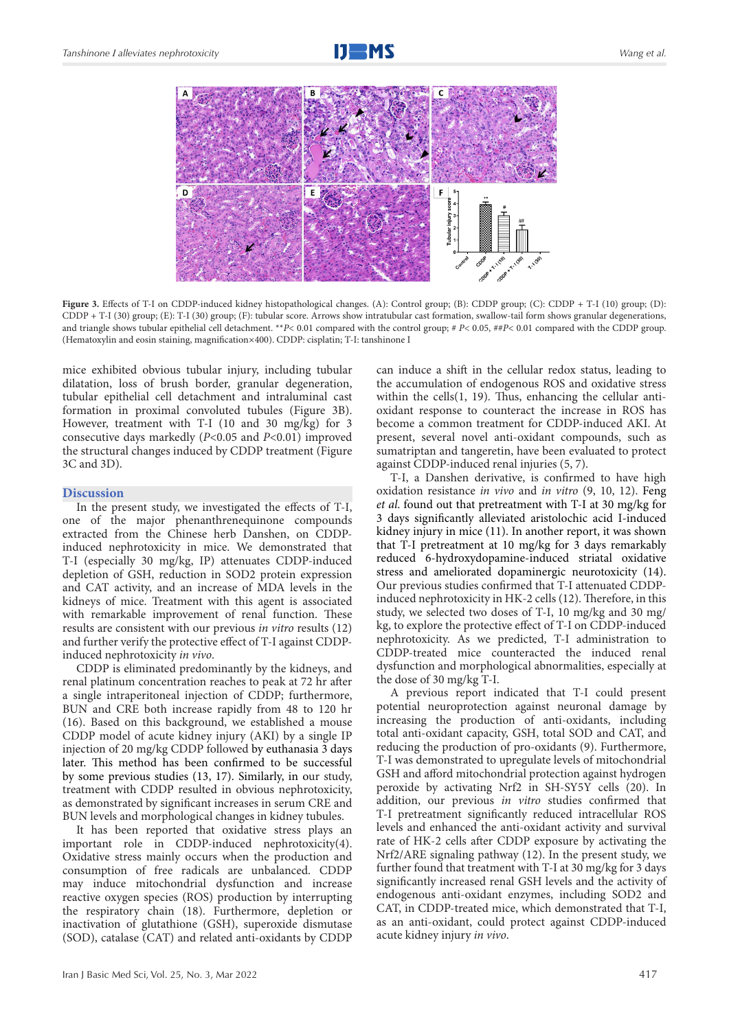



Figure 3. Effects of T-I on CDDP-induced kidney histopathological changes. (A): Control group; (B): CDDP group; (C): CDDP + T-I (10) group; (D): CDDP + T-I (30) group; (E): T-I (30) group; (F): tubular score. Arrows show intratubular cast formation, swallow-tail form shows granular degenerations, and triangle shows tubular epithelial cell detachment. \*\**P*< 0.01 compared with the control group; # *P*< 0.05, ##*P*< 0.01 compared with the CDDP group. (Hematoxylin and eosin staining, magnification×400). CDDP: cisplatin; T-I: tanshinone I

mice exhibited obvious tubular injury, including tubular dilatation, loss of brush border, granular degeneration, tubular epithelial cell detachment and intraluminal cast formation in proximal convoluted tubules (Figure 3B). However, treatment with T-I (10 and 30 mg/kg) for 3 consecutive days markedly (*P*<0.05 and *P*<0.01) improved the structural changes induced by CDDP treatment (Figure 3C and 3D).

#### **Discussion**

In the present study, we investigated the effects of T-I, one of the major phenanthrenequinone compounds extracted from the Chinese herb Danshen, on CDDPinduced nephrotoxicity in mice. We demonstrated that T-I (especially 30 mg/kg, IP) attenuates CDDP-induced depletion of GSH, reduction in SOD2 protein expression and CAT activity, and an increase of MDA levels in the kidneys of mice. Treatment with this agent is associated with remarkable improvement of renal function. These results are consistent with our previous *in vitro* results (12) and further verify the protective effect of T-I against CDDPinduced nephrotoxicity *in vivo*.

CDDP is eliminated predominantly by the kidneys, and renal platinum concentration reaches to peak at 72 hr after a single intraperitoneal injection of CDDP; furthermore, BUN and CRE both increase rapidly from 48 to 120 hr (16). Based on this background, we established a mouse CDDP model of acute kidney injury (AKI) by a single IP injection of 20 mg/kg CDDP followed by euthanasia 3 days later. This method has been confirmed to be successful by some previous studies (13, 17). Similarly, in our study, treatment with CDDP resulted in obvious nephrotoxicity, as demonstrated by significant increases in serum CRE and BUN levels and morphological changes in kidney tubules.

It has been reported that oxidative stress plays an important role in CDDP-induced nephrotoxicity(4). Oxidative stress mainly occurs when the production and consumption of free radicals are unbalanced. CDDP may induce mitochondrial dysfunction and increase reactive oxygen species (ROS) production by interrupting the respiratory chain (18). Furthermore, depletion or inactivation of glutathione (GSH), superoxide dismutase (SOD), catalase (CAT) and related anti-oxidants by CDDP

can induce a shift in the cellular redox status, leading to the accumulation of endogenous ROS and oxidative stress within the cells(1, 19). Thus, enhancing the cellular antioxidant response to counteract the increase in ROS has become a common treatment for CDDP-induced AKI. At present, several novel anti-oxidant compounds, such as sumatriptan and tangeretin, have been evaluated to protect against CDDP-induced renal injuries (5, 7).

T-I, a Danshen derivative, is confirmed to have high oxidation resistance *in vivo* and *in vitro* (9, 10, 12). Feng *et al*. found out that pretreatment with T-I at 30 mg/kg for 3 days significantly alleviated aristolochic acid I-induced kidney injury in mice (11). In another report, it was shown that T-I pretreatment at 10 mg/kg for 3 days remarkably reduced 6-hydroxydopamine-induced striatal oxidative stress and ameliorated dopaminergic neurotoxicity (14). Our previous studies confirmed that T-I attenuated CDDPinduced nephrotoxicity in HK-2 cells (12). Therefore, in this study, we selected two doses of T-I, 10 mg/kg and 30 mg/ kg, to explore the protective effect of T-I on CDDP-induced nephrotoxicity. As we predicted, T-I administration to CDDP-treated mice counteracted the induced renal dysfunction and morphological abnormalities, especially at the dose of 30 mg/kg T-I.

A previous report indicated that T-I could present potential neuroprotection against neuronal damage by increasing the production of anti-oxidants, including total anti-oxidant capacity, GSH, total SOD and CAT, and reducing the production of pro-oxidants (9). Furthermore, T-I was demonstrated to upregulate levels of mitochondrial GSH and afford mitochondrial protection against hydrogen peroxide by activating Nrf2 in SH-SY5Y cells (20). In addition, our previous *in vitro* studies confirmed that T-I pretreatment significantly reduced intracellular ROS levels and enhanced the anti-oxidant activity and survival rate of HK-2 cells after CDDP exposure by activating the Nrf2/ARE signaling pathway (12). In the present study, we further found that treatment with T-I at 30 mg/kg for 3 days significantly increased renal GSH levels and the activity of endogenous anti-oxidant enzymes, including SOD2 and CAT, in CDDP-treated mice, which demonstrated that T-I, as an anti-oxidant, could protect against CDDP-induced acute kidney injury *in vivo*.